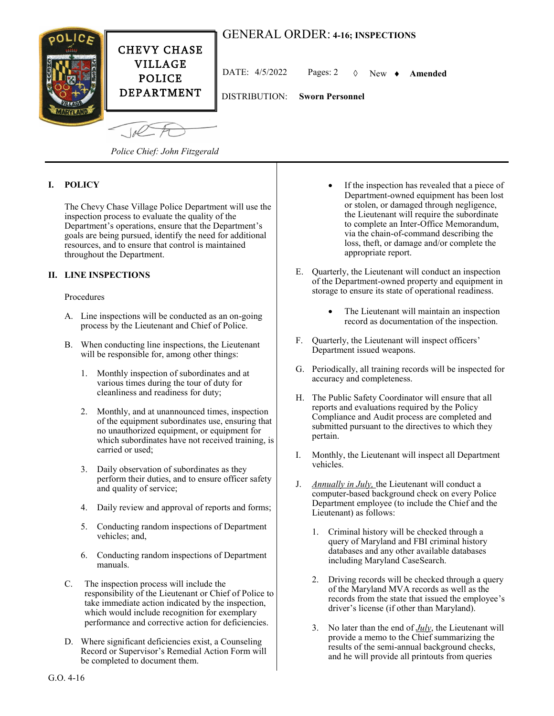# GENERAL ORDER: **4-16; INSPECTIONS**

DISTRIBUTION: **Sworn Personnel**



DATE: 4/5/2022 Pages: 2 New **Amended**

 $-10<sup>2</sup>$ 

*Police Chief: John Fitzgerald*

## **I. POLICY**

The Chevy Chase Village Police Department will use the inspection process to evaluate the quality of the Department's operations, ensure that the Department's goals are being pursued, identify the need for additional resources, and to ensure that control is maintained throughout the Department.

### **II. LINE INSPECTIONS**

#### Procedures

- A. Line inspections will be conducted as an on-going process by the Lieutenant and Chief of Police.
- B. When conducting line inspections, the Lieutenant will be responsible for, among other things:
	- 1. Monthly inspection of subordinates and at various times during the tour of duty for cleanliness and readiness for duty;
	- 2. Monthly, and at unannounced times, inspection of the equipment subordinates use, ensuring that no unauthorized equipment, or equipment for which subordinates have not received training, is carried or used;
	- 3. Daily observation of subordinates as they perform their duties, and to ensure officer safety and quality of service;
	- 4. Daily review and approval of reports and forms;
	- 5. Conducting random inspections of Department vehicles; and,
	- 6. Conducting random inspections of Department manuals.
- C. The inspection process will include the responsibility of the Lieutenant or Chief of Police to take immediate action indicated by the inspection, which would include recognition for exemplary performance and corrective action for deficiencies.
- D. Where significant deficiencies exist, a Counseling Record or Supervisor's Remedial Action Form will be completed to document them.
- If the inspection has revealed that a piece of Department-owned equipment has been lost or stolen, or damaged through negligence, the Lieutenant will require the subordinate to complete an Inter-Office Memorandum, via the chain-of-command describing the loss, theft, or damage and/or complete the appropriate report.
- E. Quarterly, the Lieutenant will conduct an inspection of the Department-owned property and equipment in storage to ensure its state of operational readiness.
	- The Lieutenant will maintain an inspection record as documentation of the inspection.
- F. Quarterly, the Lieutenant will inspect officers' Department issued weapons.
- G. Periodically, all training records will be inspected for accuracy and completeness.
- H. The Public Safety Coordinator will ensure that all reports and evaluations required by the Policy Compliance and Audit process are completed and submitted pursuant to the directives to which they pertain.
- I. Monthly, the Lieutenant will inspect all Department vehicles.
- J. *Annually in July,* the Lieutenant will conduct a computer-based background check on every Police Department employee (to include the Chief and the Lieutenant) as follows:
	- 1. Criminal history will be checked through a query of Maryland and FBI criminal history databases and any other available databases including Maryland CaseSearch.
	- 2. Driving records will be checked through a query of the Maryland MVA records as well as the records from the state that issued the employee's driver's license (if other than Maryland).
	- 3. No later than the end of *July*, the Lieutenant will provide a memo to the Chief summarizing the results of the semi-annual background checks, and he will provide all printouts from queries